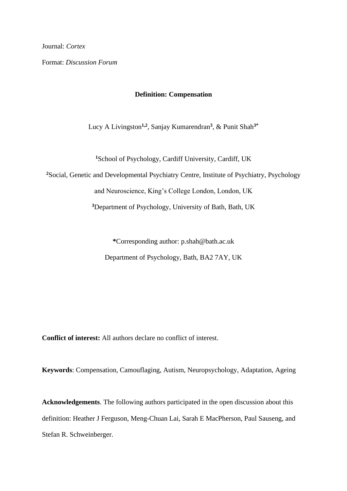Journal: *Cortex*

Format: *Discussion Forum*

## **Definition: Compensation**

Lucy A Livingston**1,2**, Sanjay Kumarendran**<sup>3</sup>** , & Punit Shah**3\***

**<sup>1</sup>**School of Psychology, Cardiff University, Cardiff, UK

**<sup>2</sup>**Social, Genetic and Developmental Psychiatry Centre, Institute of Psychiatry, Psychology

and Neuroscience, King's College London, London, UK

**<sup>3</sup>**Department of Psychology, University of Bath, Bath, UK

**\***Corresponding author: p.shah@bath.ac.uk Department of Psychology, Bath, BA2 7AY, UK

**Conflict of interest:** All authors declare no conflict of interest.

**Keywords**: Compensation, Camouflaging, Autism, Neuropsychology, Adaptation, Ageing

**Acknowledgements**. The following authors participated in the open discussion about this definition: Heather J Ferguson, Meng-Chuan Lai, Sarah E MacPherson, Paul Sauseng, and Stefan R. Schweinberger.